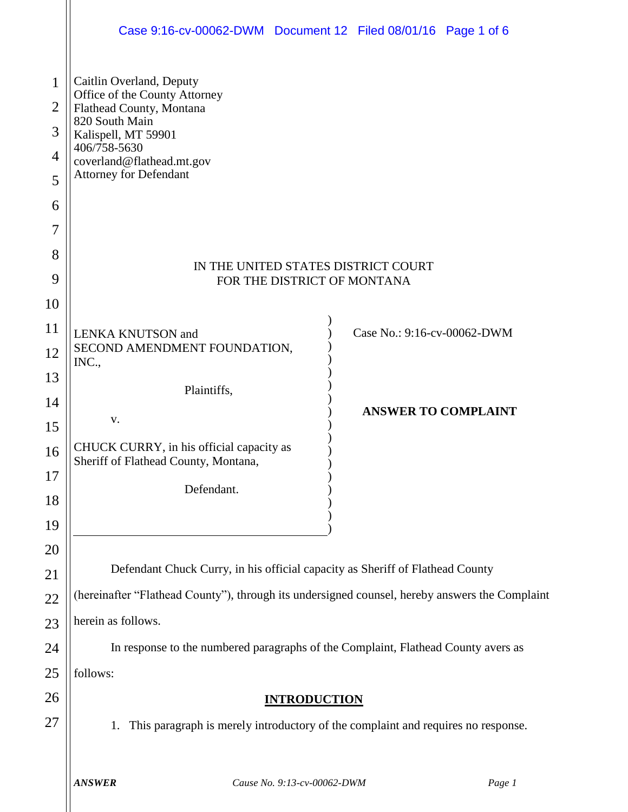|                                                                           | Case 9:16-cv-00062-DWM Document 12 Filed 08/01/16 Page 1 of 6                                                                                                                                                                                       |  |  |  |  |  |  |  |
|---------------------------------------------------------------------------|-----------------------------------------------------------------------------------------------------------------------------------------------------------------------------------------------------------------------------------------------------|--|--|--|--|--|--|--|
| $\mathbf{1}$<br>$\overline{2}$<br>3<br>$\overline{4}$<br>5<br>6<br>7<br>8 | Caitlin Overland, Deputy<br>Office of the County Attorney<br>Flathead County, Montana<br>820 South Main<br>Kalispell, MT 59901<br>406/758-5630<br>coverland@flathead.mt.gov<br><b>Attorney for Defendant</b><br>IN THE UNITED STATES DISTRICT COURT |  |  |  |  |  |  |  |
| 9                                                                         | FOR THE DISTRICT OF MONTANA                                                                                                                                                                                                                         |  |  |  |  |  |  |  |
| 10                                                                        |                                                                                                                                                                                                                                                     |  |  |  |  |  |  |  |
| 11                                                                        | Case No.: 9:16-cv-00062-DWM<br><b>LENKA KNUTSON</b> and<br>SECOND AMENDMENT FOUNDATION,                                                                                                                                                             |  |  |  |  |  |  |  |
| 12<br>13                                                                  | INC.,                                                                                                                                                                                                                                               |  |  |  |  |  |  |  |
| 14                                                                        | Plaintiffs,                                                                                                                                                                                                                                         |  |  |  |  |  |  |  |
| 15                                                                        | <b>ANSWER TO COMPLAINT</b><br>V.                                                                                                                                                                                                                    |  |  |  |  |  |  |  |
| 16                                                                        | CHUCK CURRY, in his official capacity as                                                                                                                                                                                                            |  |  |  |  |  |  |  |
| 17                                                                        | Sheriff of Flathead County, Montana,                                                                                                                                                                                                                |  |  |  |  |  |  |  |
| 18                                                                        | Defendant.                                                                                                                                                                                                                                          |  |  |  |  |  |  |  |
| 19                                                                        |                                                                                                                                                                                                                                                     |  |  |  |  |  |  |  |
| 20                                                                        |                                                                                                                                                                                                                                                     |  |  |  |  |  |  |  |
| 21                                                                        | Defendant Chuck Curry, in his official capacity as Sheriff of Flathead County                                                                                                                                                                       |  |  |  |  |  |  |  |
| 22                                                                        | (hereinafter "Flathead County"), through its undersigned counsel, hereby answers the Complaint                                                                                                                                                      |  |  |  |  |  |  |  |
| 23                                                                        | herein as follows.                                                                                                                                                                                                                                  |  |  |  |  |  |  |  |
| 24                                                                        | In response to the numbered paragraphs of the Complaint, Flathead County avers as                                                                                                                                                                   |  |  |  |  |  |  |  |
| 25                                                                        | follows:                                                                                                                                                                                                                                            |  |  |  |  |  |  |  |
| 26                                                                        | <b>INTRODUCTION</b>                                                                                                                                                                                                                                 |  |  |  |  |  |  |  |
| 27                                                                        | This paragraph is merely introductory of the complaint and requires no response.<br>1.                                                                                                                                                              |  |  |  |  |  |  |  |
|                                                                           |                                                                                                                                                                                                                                                     |  |  |  |  |  |  |  |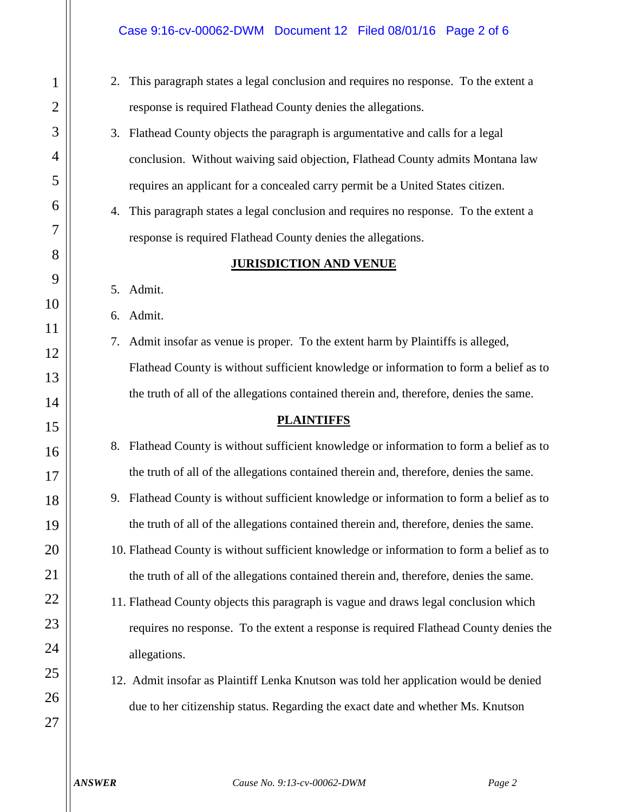#### Case 9:16-cv-00062-DWM Document 12 Filed 08/01/16 Page 2 of 6

- 2. This paragraph states a legal conclusion and requires no response. To the extent a response is required Flathead County denies the allegations.
- 3. Flathead County objects the paragraph is argumentative and calls for a legal conclusion. Without waiving said objection, Flathead County admits Montana law requires an applicant for a concealed carry permit be a United States citizen.
- 4. This paragraph states a legal conclusion and requires no response. To the extent a response is required Flathead County denies the allegations.

#### **JURISDICTION AND VENUE**

5. Admit.

6. Admit.

7. Admit insofar as venue is proper. To the extent harm by Plaintiffs is alleged, Flathead County is without sufficient knowledge or information to form a belief as to the truth of all of the allegations contained therein and, therefore, denies the same.

#### **PLAINTIFFS**

8. Flathead County is without sufficient knowledge or information to form a belief as to the truth of all of the allegations contained therein and, therefore, denies the same.

- 9. Flathead County is without sufficient knowledge or information to form a belief as to the truth of all of the allegations contained therein and, therefore, denies the same.
- 10. Flathead County is without sufficient knowledge or information to form a belief as to the truth of all of the allegations contained therein and, therefore, denies the same.
- 11. Flathead County objects this paragraph is vague and draws legal conclusion which requires no response. To the extent a response is required Flathead County denies the allegations.
- 12. Admit insofar as Plaintiff Lenka Knutson was told her application would be denied due to her citizenship status. Regarding the exact date and whether Ms. Knutson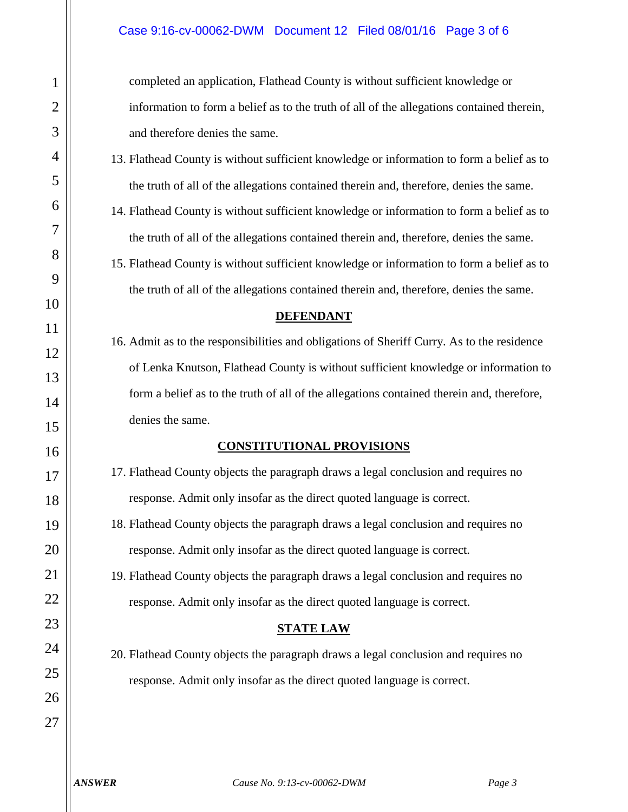completed an application, Flathead County is without sufficient knowledge or information to form a belief as to the truth of all of the allegations contained therein, and therefore denies the same.

- 13. Flathead County is without sufficient knowledge or information to form a belief as to the truth of all of the allegations contained therein and, therefore, denies the same.
- 14. Flathead County is without sufficient knowledge or information to form a belief as to the truth of all of the allegations contained therein and, therefore, denies the same.
- 15. Flathead County is without sufficient knowledge or information to form a belief as to the truth of all of the allegations contained therein and, therefore, denies the same.

#### **DEFENDANT**

16. Admit as to the responsibilities and obligations of Sheriff Curry. As to the residence of Lenka Knutson, Flathead County is without sufficient knowledge or information to form a belief as to the truth of all of the allegations contained therein and, therefore, denies the same.

#### **CONSTITUTIONAL PROVISIONS**

- 17. Flathead County objects the paragraph draws a legal conclusion and requires no response. Admit only insofar as the direct quoted language is correct.
- 18. Flathead County objects the paragraph draws a legal conclusion and requires no response. Admit only insofar as the direct quoted language is correct.

19. Flathead County objects the paragraph draws a legal conclusion and requires no response. Admit only insofar as the direct quoted language is correct.

## **STATE LAW**

20. Flathead County objects the paragraph draws a legal conclusion and requires no response. Admit only insofar as the direct quoted language is correct.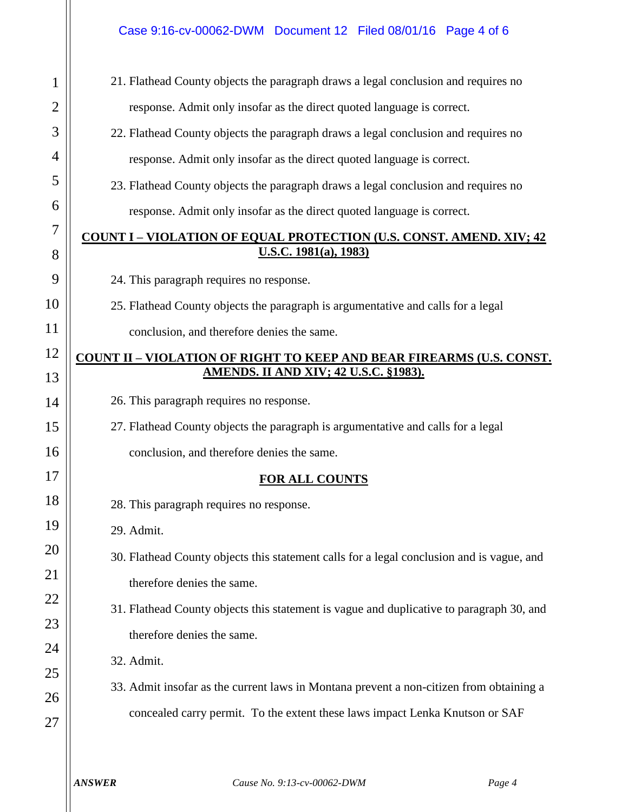21. Flathead County objects the paragraph draws a legal conclusion and requires no response. Admit only insofar as the direct quoted language is correct.

22. Flathead County objects the paragraph draws a legal conclusion and requires no response. Admit only insofar as the direct quoted language is correct.

23. Flathead County objects the paragraph draws a legal conclusion and requires no response. Admit only insofar as the direct quoted language is correct.

**COUNT I – VIOLATION OF EQUAL PROTECTION (U.S. CONST. AMEND. XIV; 42 U.S.C. 1981(a), 1983)**

24. This paragraph requires no response.

25. Flathead County objects the paragraph is argumentative and calls for a legal

conclusion, and therefore denies the same.

## **COUNT II – VIOLATION OF RIGHT TO KEEP AND BEAR FIREARMS (U.S. CONST. AMENDS. II AND XIV; 42 U.S.C. §1983).**

26. This paragraph requires no response.

27. Flathead County objects the paragraph is argumentative and calls for a legal

conclusion, and therefore denies the same.

# **FOR ALL COUNTS**

28. This paragraph requires no response.

29. Admit.

1

2

3

4

5

6

7

8

9

10

11

12

13

14

15

16

17

18

19

20

21

22

23

24

25

26

27

30. Flathead County objects this statement calls for a legal conclusion and is vague, and therefore denies the same.

31. Flathead County objects this statement is vague and duplicative to paragraph 30, and therefore denies the same.

32. Admit.

33. Admit insofar as the current laws in Montana prevent a non-citizen from obtaining a concealed carry permit. To the extent these laws impact Lenka Knutson or SAF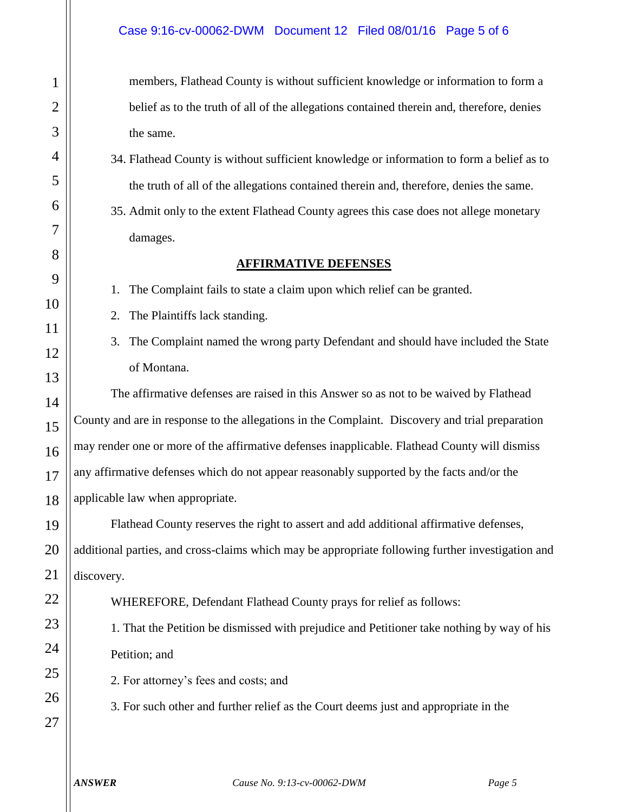members, Flathead County is without sufficient knowledge or information to form a belief as to the truth of all of the allegations contained therein and, therefore, denies the same.

- 34. Flathead County is without sufficient knowledge or information to form a belief as to the truth of all of the allegations contained therein and, therefore, denies the same.
- 35. Admit only to the extent Flathead County agrees this case does not allege monetary damages.

### **AFFIRMATIVE DEFENSES**

1. The Complaint fails to state a claim upon which relief can be granted.

- 2. The Plaintiffs lack standing.
- 3. The Complaint named the wrong party Defendant and should have included the State of Montana.

The affirmative defenses are raised in this Answer so as not to be waived by Flathead County and are in response to the allegations in the Complaint. Discovery and trial preparation may render one or more of the affirmative defenses inapplicable. Flathead County will dismiss any affirmative defenses which do not appear reasonably supported by the facts and/or the applicable law when appropriate.

Flathead County reserves the right to assert and add additional affirmative defenses, additional parties, and cross-claims which may be appropriate following further investigation and discovery.

WHEREFORE, Defendant Flathead County prays for relief as follows:

1. That the Petition be dismissed with prejudice and Petitioner take nothing by way of his Petition; and

2. For attorney's fees and costs; and

3. For such other and further relief as the Court deems just and appropriate in the